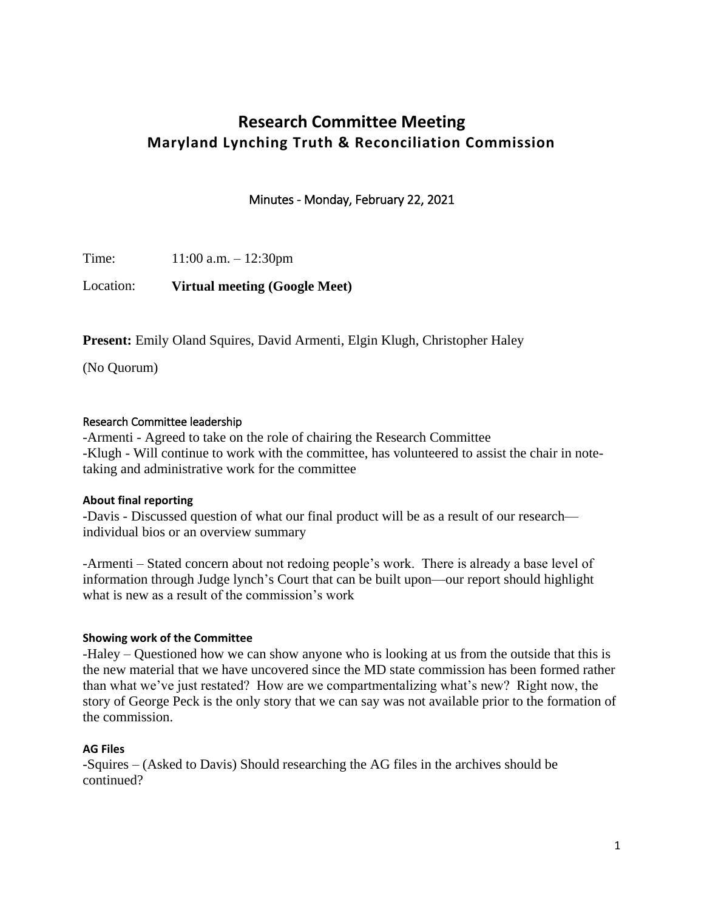# **Research Committee Meeting Maryland Lynching Truth & Reconciliation Commission**

Minutes - Monday, February 22, 2021

Time: 11:00 a.m. – 12:30pm

Location: **Virtual meeting (Google Meet)** 

Present: Emily Oland Squires, David Armenti, Elgin Klugh, Christopher Haley

(No Quorum)

#### Research Committee leadership

-Armenti - Agreed to take on the role of chairing the Research Committee -Klugh - Will continue to work with the committee, has volunteered to assist the chair in notetaking and administrative work for the committee

## **About final reporting**

-Davis - Discussed question of what our final product will be as a result of our research individual bios or an overview summary

-Armenti – Stated concern about not redoing people's work. There is already a base level of information through Judge lynch's Court that can be built upon—our report should highlight what is new as a result of the commission's work

## **Showing work of the Committee**

-Haley – Questioned how we can show anyone who is looking at us from the outside that this is the new material that we have uncovered since the MD state commission has been formed rather than what we've just restated? How are we compartmentalizing what's new? Right now, the story of George Peck is the only story that we can say was not available prior to the formation of the commission.

## **AG Files**

-Squires – (Asked to Davis) Should researching the AG files in the archives should be continued?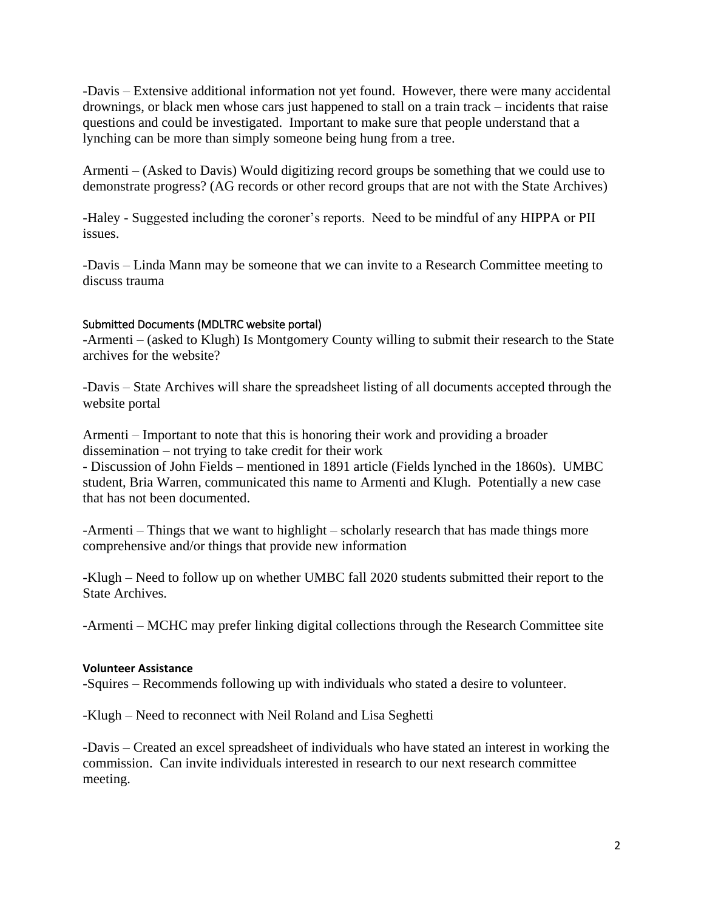questions and could be investigated. Important to make sure that people understand that a -Davis – Extensive additional information not yet found. However, there were many accidental drownings, or black men whose cars just happened to stall on a train track – incidents that raise lynching can be more than simply someone being hung from a tree.

Armenti – (Asked to Davis) Would digitizing record groups be something that we could use to demonstrate progress? (AG records or other record groups that are not with the State Archives)

-Haley - Suggested including the coroner's reports. Need to be mindful of any HIPPA or PII issues.

-Davis – Linda Mann may be someone that we can invite to a Research Committee meeting to discuss trauma

## Submitted Documents (MDLTRC website portal)

-Armenti – (asked to Klugh) Is Montgomery County willing to submit their research to the State archives for the website?

 -Davis – State Archives will share the spreadsheet listing of all documents accepted through the website portal

 Armenti – Important to note that this is honoring their work and providing a broader dissemination – not trying to take credit for their work

 - Discussion of John Fields – mentioned in 1891 article (Fields lynched in the 1860s). UMBC student, Bria Warren, communicated this name to Armenti and Klugh. Potentially a new case that has not been documented.

-Armenti – Things that we want to highlight – scholarly research that has made things more comprehensive and/or things that provide new information

-Klugh – Need to follow up on whether UMBC fall 2020 students submitted their report to the State Archives.

-Armenti – MCHC may prefer linking digital collections through the Research Committee site

## **Volunteer Assistance**

-Squires – Recommends following up with individuals who stated a desire to volunteer.

-Klugh – Need to reconnect with Neil Roland and Lisa Seghetti

-Davis – Created an excel spreadsheet of individuals who have stated an interest in working the commission. Can invite individuals interested in research to our next research committee meeting.